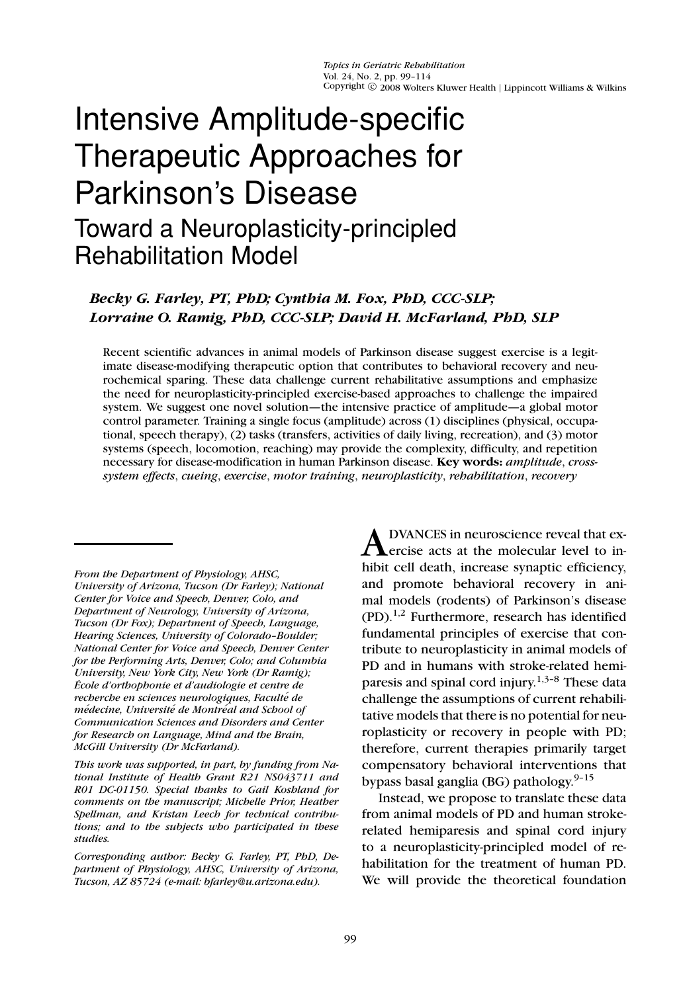*Topics in Geriatric Rehabilitation* Vol. 24, No. 2, pp. 99–114 Copyright © 2008 Wolters Kluwer Health | Lippincott Williams & Wilkins

# Intensive Amplitude-specific Therapeutic Approaches for Parkinson's Disease Toward a Neuroplasticity-principled Rehabilitation Model

# *Becky G. Farley, PT, PhD; Cynthia M. Fox, PhD, CCC-SLP; Lorraine O. Ramig, PhD, CCC-SLP; David H. McFarland, PhD, SLP*

Recent scientific advances in animal models of Parkinson disease suggest exercise is a legitimate disease-modifying therapeutic option that contributes to behavioral recovery and neurochemical sparing. These data challenge current rehabilitative assumptions and emphasize the need for neuroplasticity-principled exercise-based approaches to challenge the impaired system. We suggest one novel solution—the intensive practice of amplitude—a global motor control parameter. Training a single focus (amplitude) across (1) disciplines (physical, occupational, speech therapy), (2) tasks (transfers, activities of daily living, recreation), and (3) motor systems (speech, locomotion, reaching) may provide the complexity, difficulty, and repetition necessary for disease-modification in human Parkinson disease. **Key words:** *amplitude*, *crosssystem effects*, *cueing*, *exercise*, *motor training*, *neuroplasticity*, *rehabilitation*, *recovery*

*From the Department of Physiology, AHSC, University of Arizona, Tucson (Dr Farley); National Center for Voice and Speech, Denver, Colo, and Department of Neurology, University of Arizona, Tucson (Dr Fox); Department of Speech, Language, Hearing Sciences, University of Colorado–Boulder; National Center for Voice and Speech, Denver Center for the Performing Arts, Denver, Colo; and Columbia University, New York City, New York (Dr Ramig); Ecole d'orthophonie et d'audiologie et centre de ´ recherche en sciences neurologiques, Facult´e de m´edecine, Universit´e de Montr´eal and School of Communication Sciences and Disorders and Center for Research on Language, Mind and the Brain, McGill University (Dr McFarland).*

*This work was supported, in part, by funding from National Institute of Health Grant R21 NS043711 and R01 DC-01150. Special thanks to Gail Koshland for comments on the manuscript; Michelle Prior, Heather Spellman, and Kristan Leech for technical contributions; and to the subjects who participated in these studies.*

A DVANCES in neuroscience reveal that ex-<br>ercise acts at the molecular level to in-<br>hibit cell death, increase symptic efficiency hibit cell death, increase synaptic efficiency, and promote behavioral recovery in animal models (rodents) of Parkinson's disease  $(PD).<sup>1,2</sup>$  Furthermore, research has identified fundamental principles of exercise that contribute to neuroplasticity in animal models of PD and in humans with stroke-related hemiparesis and spinal cord injury.<sup>1,3–8</sup> These data challenge the assumptions of current rehabilitative models that there is no potential for neuroplasticity or recovery in people with PD; therefore, current therapies primarily target compensatory behavioral interventions that bypass basal ganglia (BG) pathology. $9-15$ 

Instead, we propose to translate these data from animal models of PD and human strokerelated hemiparesis and spinal cord injury to a neuroplasticity-principled model of rehabilitation for the treatment of human PD. We will provide the theoretical foundation

*Corresponding author: Becky G. Farley, PT, PhD, Department of Physiology, AHSC, University of Arizona, Tucson, AZ 85724 (e-mail: bfarley@u.arizona.edu).*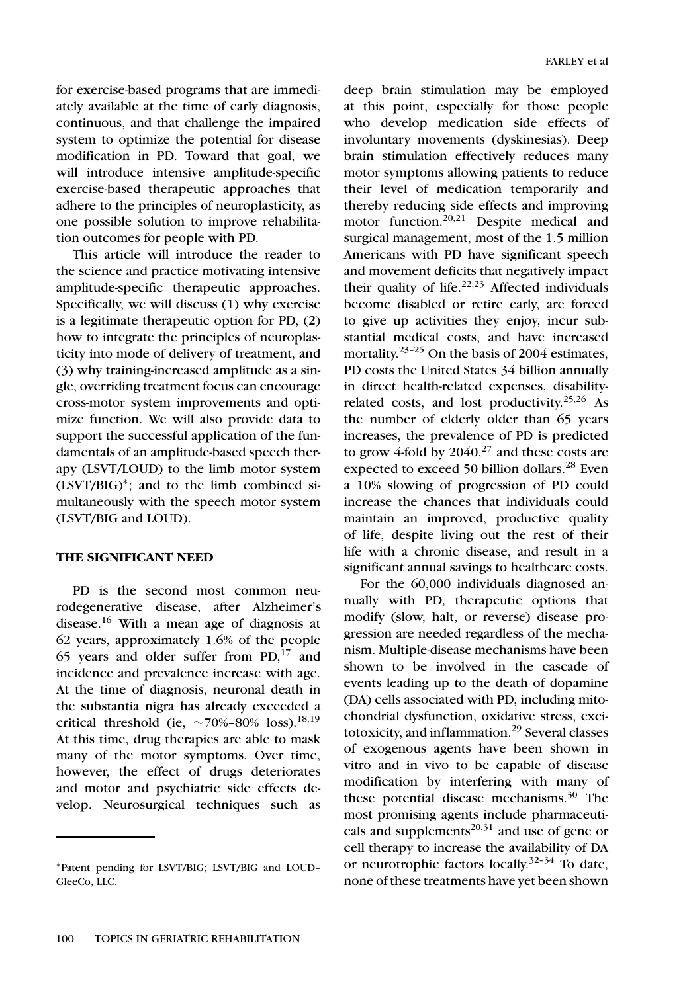for exercise-based programs that are immediately available at the time of early diagnosis, continuous, and that challenge the impaired system to optimize the potential for disease modification in PD. Toward that goal, we will introduce intensive amplitude-specific exercise-based therapeutic approaches that adhere to the principles of neuroplasticity, as one possible solution to improve rehabilitation outcomes for people with PD.

This article will introduce the reader to the science and practice motivating intensive amplitude-specific therapeutic approaches. Specifically, we will discuss (1) why exercise is a legitimate therapeutic option for PD, (2) how to integrate the principles of neuroplasticity into mode of delivery of treatment, and (3) why training-increased amplitude as a single, overriding treatment focus can encourage cross-motor system improvements and optimize function. We will also provide data to support the successful application of the fundamentals of an amplitude-based speech therapy (LSVT/LOUD) to the limb motor system (LSVT/BIG)∗; and to the limb combined simultaneously with the speech motor system (LSVT/BIG and LOUD).

#### **THE SIGNIFICANT NEED**

PD is the second most common neurodegenerative disease, after Alzheimer's disease.16 With a mean age of diagnosis at 62 years, approximately 1.6% of the people 65 years and older suffer from  $PD<sub>1</sub><sup>17</sup>$  and incidence and prevalence increase with age. At the time of diagnosis, neuronal death in the substantia nigra has already exceeded a critical threshold (ie,  $\sim$ 70%–80% loss).<sup>18,19</sup> At this time, drug therapies are able to mask many of the motor symptoms. Over time, however, the effect of drugs deteriorates and motor and psychiatric side effects develop. Neurosurgical techniques such as deep brain stimulation may be employed at this point, especially for those people who develop medication side effects of involuntary movements (dyskinesias). Deep brain stimulation effectively reduces many motor symptoms allowing patients to reduce their level of medication temporarily and thereby reducing side effects and improving motor function.<sup>20,21</sup> Despite medical and surgical management, most of the 1.5 million Americans with PD have significant speech and movement deficits that negatively impact their quality of life.<sup>22,23</sup> Affected individuals become disabled or retire early, are forced to give up activities they enjoy, incur substantial medical costs, and have increased mortality.<sup>23-25</sup> On the basis of 2004 estimates, PD costs the United States 34 billion annually in direct health-related expenses, disabilityrelated costs, and lost productivity.25,26 As the number of elderly older than 65 years increases, the prevalence of PD is predicted to grow 4-fold by  $2040$ ,<sup>27</sup> and these costs are expected to exceed 50 billion dollars.<sup>28</sup> Even a 10% slowing of progression of PD could increase the chances that individuals could maintain an improved, productive quality of life, despite living out the rest of their life with a chronic disease, and result in a significant annual savings to healthcare costs.

For the 60,000 individuals diagnosed annually with PD, therapeutic options that modify (slow, halt, or reverse) disease progression are needed regardless of the mechanism. Multiple-disease mechanisms have been shown to be involved in the cascade of events leading up to the death of dopamine (DA) cells associated with PD, including mitochondrial dysfunction, oxidative stress, excitotoxicity, and inflammation.29 Several classes of exogenous agents have been shown in vitro and in vivo to be capable of disease modification by interfering with many of these potential disease mechanisms.<sup>30</sup> The most promising agents include pharmaceuticals and supplements<sup>20,31</sup> and use of gene or cell therapy to increase the availability of DA or neurotrophic factors locally.<sup>32-34</sup> To date, none of these treatments have yet been shown

<sup>∗</sup>Patent pending for LSVT/BIG; LSVT/BIG and LOUD– GleeCo, LLC.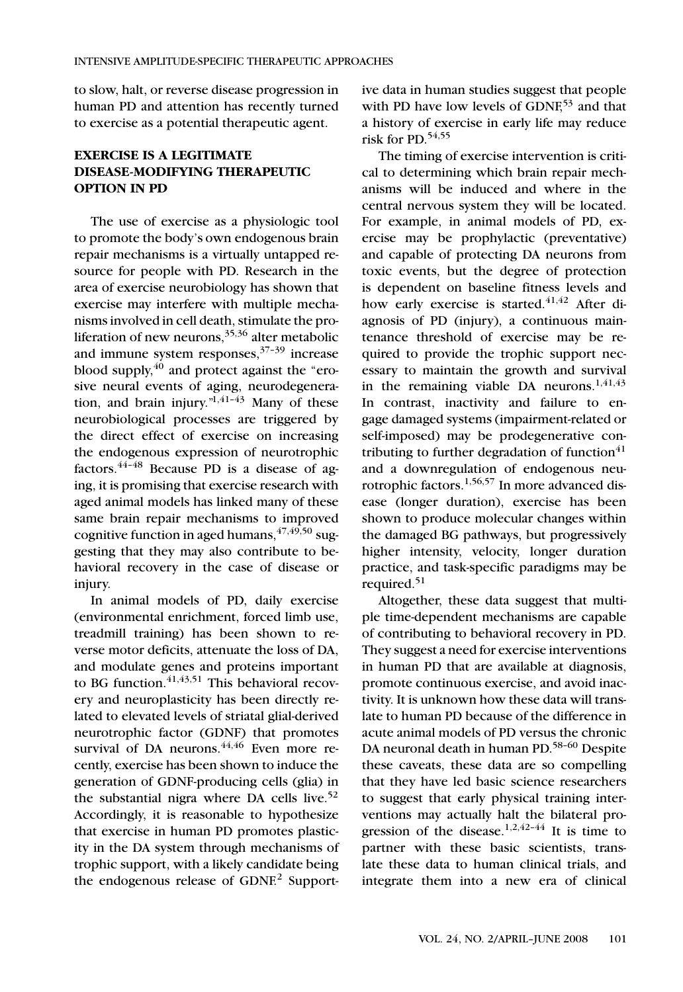to slow, halt, or reverse disease progression in human PD and attention has recently turned to exercise as a potential therapeutic agent.

# **EXERCISE IS A LEGITIMATE DISEASE-MODIFYING THERAPEUTIC OPTION IN PD**

The use of exercise as a physiologic tool to promote the body's own endogenous brain repair mechanisms is a virtually untapped resource for people with PD. Research in the area of exercise neurobiology has shown that exercise may interfere with multiple mechanisms involved in cell death, stimulate the proliferation of new neurons,  $35,36$  alter metabolic and immune system responses,  $37-39$  increase blood supply, $40$  and protect against the "erosive neural events of aging, neurodegeneration, and brain injury.<sup>"1,41-43</sup> Many of these neurobiological processes are triggered by the direct effect of exercise on increasing the endogenous expression of neurotrophic factors.44–48 Because PD is a disease of aging, it is promising that exercise research with aged animal models has linked many of these same brain repair mechanisms to improved cognitive function in aged humans,  $47,49,50$  suggesting that they may also contribute to behavioral recovery in the case of disease or injury.

In animal models of PD, daily exercise (environmental enrichment, forced limb use, treadmill training) has been shown to reverse motor deficits, attenuate the loss of DA, and modulate genes and proteins important to BG function. $41,43,51$  This behavioral recovery and neuroplasticity has been directly related to elevated levels of striatal glial-derived neurotrophic factor (GDNF) that promotes survival of DA neurons. $44,46$  Even more recently, exercise has been shown to induce the generation of GDNF-producing cells (glia) in the substantial nigra where DA cells live.<sup>52</sup> Accordingly, it is reasonable to hypothesize that exercise in human PD promotes plasticity in the DA system through mechanisms of trophic support, with a likely candidate being the endogenous release of  $GDNE<sup>2</sup>$  Supportive data in human studies suggest that people with PD have low levels of  $GDNF<sup>53</sup>$  and that a history of exercise in early life may reduce risk for PD.54,55

The timing of exercise intervention is critical to determining which brain repair mechanisms will be induced and where in the central nervous system they will be located. For example, in animal models of PD, exercise may be prophylactic (preventative) and capable of protecting DA neurons from toxic events, but the degree of protection is dependent on baseline fitness levels and how early exercise is started. $41,42$  After diagnosis of PD (injury), a continuous maintenance threshold of exercise may be required to provide the trophic support necessary to maintain the growth and survival in the remaining viable DA neurons.<sup>1,41,43</sup> In contrast, inactivity and failure to engage damaged systems (impairment-related or self-imposed) may be prodegenerative contributing to further degradation of function $41$ and a downregulation of endogenous neurotrophic factors.1,56,57 In more advanced disease (longer duration), exercise has been shown to produce molecular changes within the damaged BG pathways, but progressively higher intensity, velocity, longer duration practice, and task-specific paradigms may be required.<sup>51</sup>

Altogether, these data suggest that multiple time-dependent mechanisms are capable of contributing to behavioral recovery in PD. They suggest a need for exercise interventions in human PD that are available at diagnosis, promote continuous exercise, and avoid inactivity. It is unknown how these data will translate to human PD because of the difference in acute animal models of PD versus the chronic DA neuronal death in human PD.<sup>58-60</sup> Despite these caveats, these data are so compelling that they have led basic science researchers to suggest that early physical training interventions may actually halt the bilateral progression of the disease.<sup>1,2,42–44</sup> It is time to partner with these basic scientists, translate these data to human clinical trials, and integrate them into a new era of clinical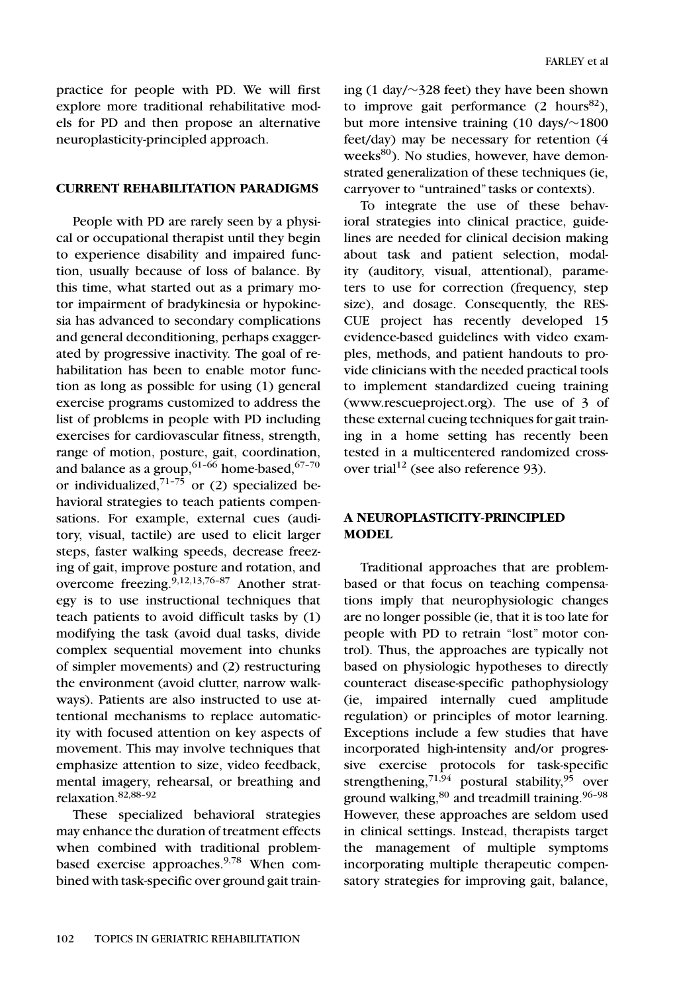practice for people with PD. We will first explore more traditional rehabilitative models for PD and then propose an alternative neuroplasticity-principled approach.

#### **CURRENT REHABILITATION PARADIGMS**

People with PD are rarely seen by a physical or occupational therapist until they begin to experience disability and impaired function, usually because of loss of balance. By this time, what started out as a primary motor impairment of bradykinesia or hypokinesia has advanced to secondary complications and general deconditioning, perhaps exaggerated by progressive inactivity. The goal of rehabilitation has been to enable motor function as long as possible for using (1) general exercise programs customized to address the list of problems in people with PD including exercises for cardiovascular fitness, strength, range of motion, posture, gait, coordination, and balance as a group,  $61-66$  home-based,  $67-70$ or individualized,<sup>71-75</sup> or (2) specialized behavioral strategies to teach patients compensations. For example, external cues (auditory, visual, tactile) are used to elicit larger steps, faster walking speeds, decrease freezing of gait, improve posture and rotation, and overcome freezing.<sup>9,12,13,76-87</sup> Another strategy is to use instructional techniques that teach patients to avoid difficult tasks by (1) modifying the task (avoid dual tasks, divide complex sequential movement into chunks of simpler movements) and (2) restructuring the environment (avoid clutter, narrow walkways). Patients are also instructed to use attentional mechanisms to replace automaticity with focused attention on key aspects of movement. This may involve techniques that emphasize attention to size, video feedback, mental imagery, rehearsal, or breathing and relaxation.82,88–92

These specialized behavioral strategies may enhance the duration of treatment effects when combined with traditional problembased exercise approaches.<sup>9,78</sup> When combined with task-specific over ground gait training (1 day/∼328 feet) they have been shown to improve gait performance  $(2 \text{ hours}^{82})$ , but more intensive training (10 days/∼1800 feet/day) may be necessary for retention (4 weeks<sup>80</sup>). No studies, however, have demonstrated generalization of these techniques (ie, carryover to "untrained"tasks or contexts).

To integrate the use of these behavioral strategies into clinical practice, guidelines are needed for clinical decision making about task and patient selection, modality (auditory, visual, attentional), parameters to use for correction (frequency, step size), and dosage. Consequently, the RES-CUE project has recently developed 15 evidence-based guidelines with video examples, methods, and patient handouts to provide clinicians with the needed practical tools to implement standardized cueing training (www.rescueproject.org). The use of 3 of these external cueing techniques for gait training in a home setting has recently been tested in a multicentered randomized crossover trial<sup>12</sup> (see also reference 93).

## **A NEUROPLASTICITY-PRINCIPLED MODEL**

Traditional approaches that are problembased or that focus on teaching compensations imply that neurophysiologic changes are no longer possible (ie, that it is too late for people with PD to retrain "lost" motor control). Thus, the approaches are typically not based on physiologic hypotheses to directly counteract disease-specific pathophysiology (ie, impaired internally cued amplitude regulation) or principles of motor learning. Exceptions include a few studies that have incorporated high-intensity and/or progressive exercise protocols for task-specific strengthening,  $71,94$  postural stability,  $95$  over ground walking, 80 and treadmill training. 96-98 However, these approaches are seldom used in clinical settings. Instead, therapists target the management of multiple symptoms incorporating multiple therapeutic compensatory strategies for improving gait, balance,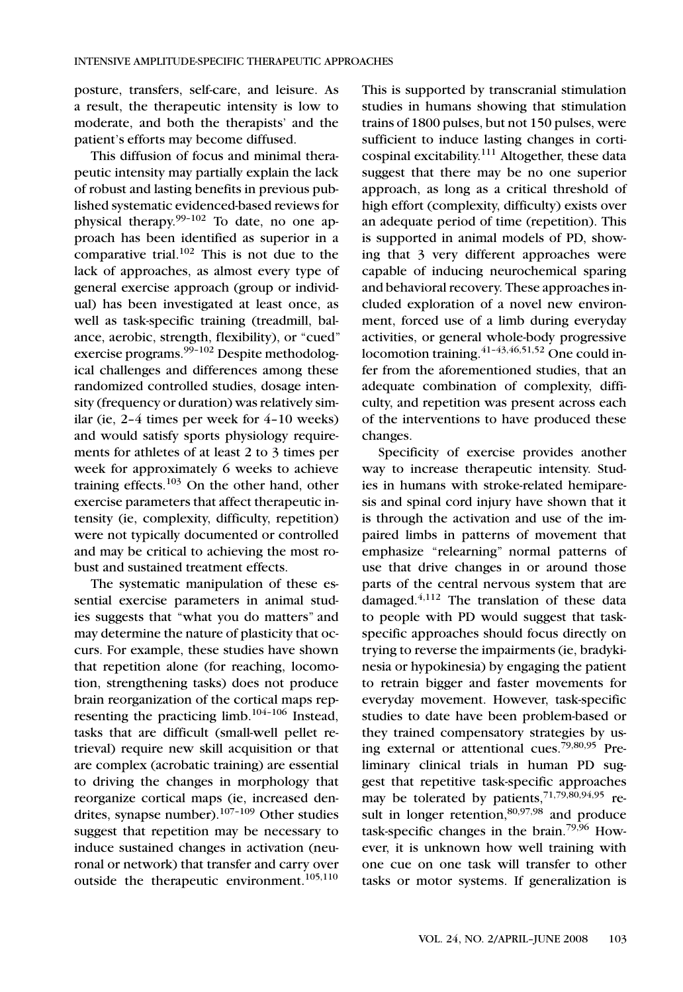posture, transfers, self-care, and leisure. As a result, the therapeutic intensity is low to moderate, and both the therapists' and the patient's efforts may become diffused.

This diffusion of focus and minimal therapeutic intensity may partially explain the lack of robust and lasting benefits in previous published systematic evidenced-based reviews for physical therapy.99–102 To date, no one approach has been identified as superior in a comparative trial. $102$  This is not due to the lack of approaches, as almost every type of general exercise approach (group or individual) has been investigated at least once, as well as task-specific training (treadmill, balance, aerobic, strength, flexibility), or "cued" exercise programs.<sup>99-102</sup> Despite methodological challenges and differences among these randomized controlled studies, dosage intensity (frequency or duration) was relatively similar (ie, 2–4 times per week for 4–10 weeks) and would satisfy sports physiology requirements for athletes of at least 2 to 3 times per week for approximately 6 weeks to achieve training effects.103 On the other hand, other exercise parameters that affect therapeutic intensity (ie, complexity, difficulty, repetition) were not typically documented or controlled and may be critical to achieving the most robust and sustained treatment effects.

The systematic manipulation of these essential exercise parameters in animal studies suggests that "what you do matters" and may determine the nature of plasticity that occurs. For example, these studies have shown that repetition alone (for reaching, locomotion, strengthening tasks) does not produce brain reorganization of the cortical maps representing the practicing limb. $104-106$  Instead, tasks that are difficult (small-well pellet retrieval) require new skill acquisition or that are complex (acrobatic training) are essential to driving the changes in morphology that reorganize cortical maps (ie, increased dendrites, synapse number). $107-109$  Other studies suggest that repetition may be necessary to induce sustained changes in activation (neuronal or network) that transfer and carry over outside the therapeutic environment.<sup>105,110</sup>

This is supported by transcranial stimulation studies in humans showing that stimulation trains of 1800 pulses, but not 150 pulses, were sufficient to induce lasting changes in corticospinal excitability.111 Altogether, these data suggest that there may be no one superior approach, as long as a critical threshold of high effort (complexity, difficulty) exists over an adequate period of time (repetition). This is supported in animal models of PD, showing that 3 very different approaches were capable of inducing neurochemical sparing and behavioral recovery. These approaches included exploration of a novel new environment, forced use of a limb during everyday activities, or general whole-body progressive locomotion training. $41-43,46,51,52$  One could infer from the aforementioned studies, that an adequate combination of complexity, difficulty, and repetition was present across each of the interventions to have produced these changes.

Specificity of exercise provides another way to increase therapeutic intensity. Studies in humans with stroke-related hemiparesis and spinal cord injury have shown that it is through the activation and use of the impaired limbs in patterns of movement that emphasize "relearning" normal patterns of use that drive changes in or around those parts of the central nervous system that are damaged.4,112 The translation of these data to people with PD would suggest that taskspecific approaches should focus directly on trying to reverse the impairments (ie, bradykinesia or hypokinesia) by engaging the patient to retrain bigger and faster movements for everyday movement. However, task-specific studies to date have been problem-based or they trained compensatory strategies by using external or attentional cues.79,80,95 Preliminary clinical trials in human PD suggest that repetitive task-specific approaches may be tolerated by patients,  $71,79,80,94,95$  result in longer retention, $80,97,98$  and produce task-specific changes in the brain.<sup>79,96</sup> However, it is unknown how well training with one cue on one task will transfer to other tasks or motor systems. If generalization is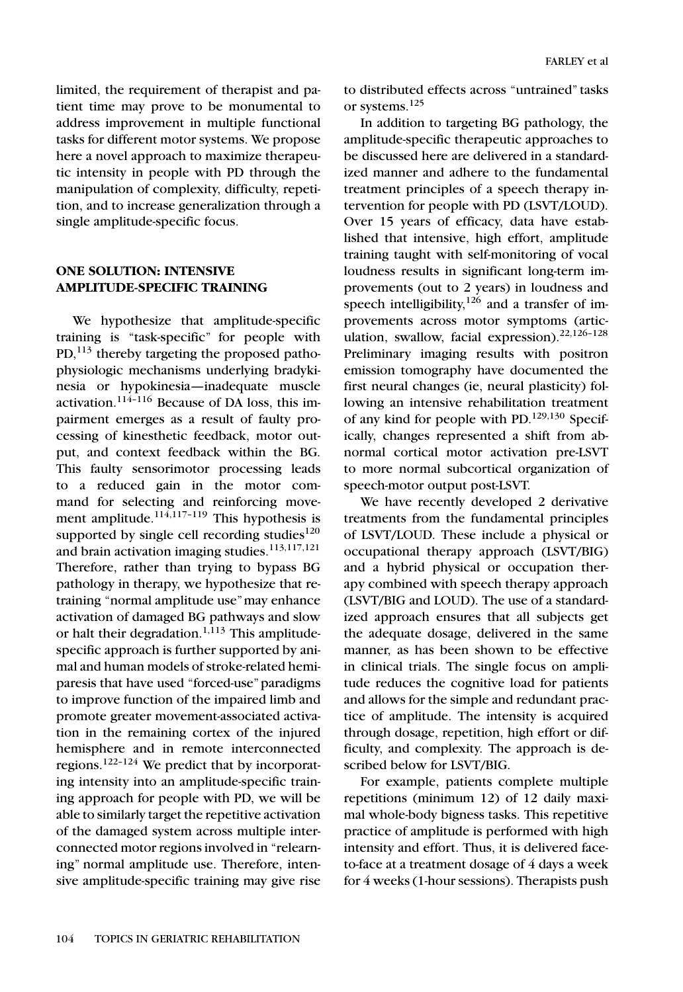limited, the requirement of therapist and patient time may prove to be monumental to address improvement in multiple functional tasks for different motor systems. We propose here a novel approach to maximize therapeutic intensity in people with PD through the manipulation of complexity, difficulty, repetition, and to increase generalization through a single amplitude-specific focus.

#### **ONE SOLUTION: INTENSIVE AMPLITUDE-SPECIFIC TRAINING**

We hypothesize that amplitude-specific training is "task-specific" for people with PD, $^{113}$  thereby targeting the proposed pathophysiologic mechanisms underlying bradykinesia or hypokinesia—inadequate muscle activation.<sup>114–116</sup> Because of DA loss, this impairment emerges as a result of faulty processing of kinesthetic feedback, motor output, and context feedback within the BG. This faulty sensorimotor processing leads to a reduced gain in the motor command for selecting and reinforcing movement amplitude. $114,117-119$  This hypothesis is supported by single cell recording studies $120$ and brain activation imaging studies. $113,117,121$ Therefore, rather than trying to bypass BG pathology in therapy, we hypothesize that retraining "normal amplitude use"may enhance activation of damaged BG pathways and slow or halt their degradation. $1,113$  This amplitudespecific approach is further supported by animal and human models of stroke-related hemiparesis that have used "forced-use"paradigms to improve function of the impaired limb and promote greater movement-associated activation in the remaining cortex of the injured hemisphere and in remote interconnected regions.122–124 We predict that by incorporating intensity into an amplitude-specific training approach for people with PD, we will be able to similarly target the repetitive activation of the damaged system across multiple interconnected motor regions involved in "relearning" normal amplitude use. Therefore, intensive amplitude-specific training may give rise

to distributed effects across "untrained" tasks or systems.125

In addition to targeting BG pathology, the amplitude-specific therapeutic approaches to be discussed here are delivered in a standardized manner and adhere to the fundamental treatment principles of a speech therapy intervention for people with PD (LSVT/LOUD). Over 15 years of efficacy, data have established that intensive, high effort, amplitude training taught with self-monitoring of vocal loudness results in significant long-term improvements (out to 2 years) in loudness and speech intelligibility, $126$  and a transfer of improvements across motor symptoms (articulation, swallow, facial expression).<sup>22,126-128</sup> Preliminary imaging results with positron emission tomography have documented the first neural changes (ie, neural plasticity) following an intensive rehabilitation treatment of any kind for people with PD.<sup>129,130</sup> Specifically, changes represented a shift from abnormal cortical motor activation pre-LSVT to more normal subcortical organization of speech-motor output post-LSVT.

We have recently developed 2 derivative treatments from the fundamental principles of LSVT/LOUD. These include a physical or occupational therapy approach (LSVT/BIG) and a hybrid physical or occupation therapy combined with speech therapy approach (LSVT/BIG and LOUD). The use of a standardized approach ensures that all subjects get the adequate dosage, delivered in the same manner, as has been shown to be effective in clinical trials. The single focus on amplitude reduces the cognitive load for patients and allows for the simple and redundant practice of amplitude. The intensity is acquired through dosage, repetition, high effort or difficulty, and complexity. The approach is described below for LSVT/BIG.

For example, patients complete multiple repetitions (minimum 12) of 12 daily maximal whole-body bigness tasks. This repetitive practice of amplitude is performed with high intensity and effort. Thus, it is delivered faceto-face at a treatment dosage of 4 days a week for 4 weeks (1-hour sessions). Therapists push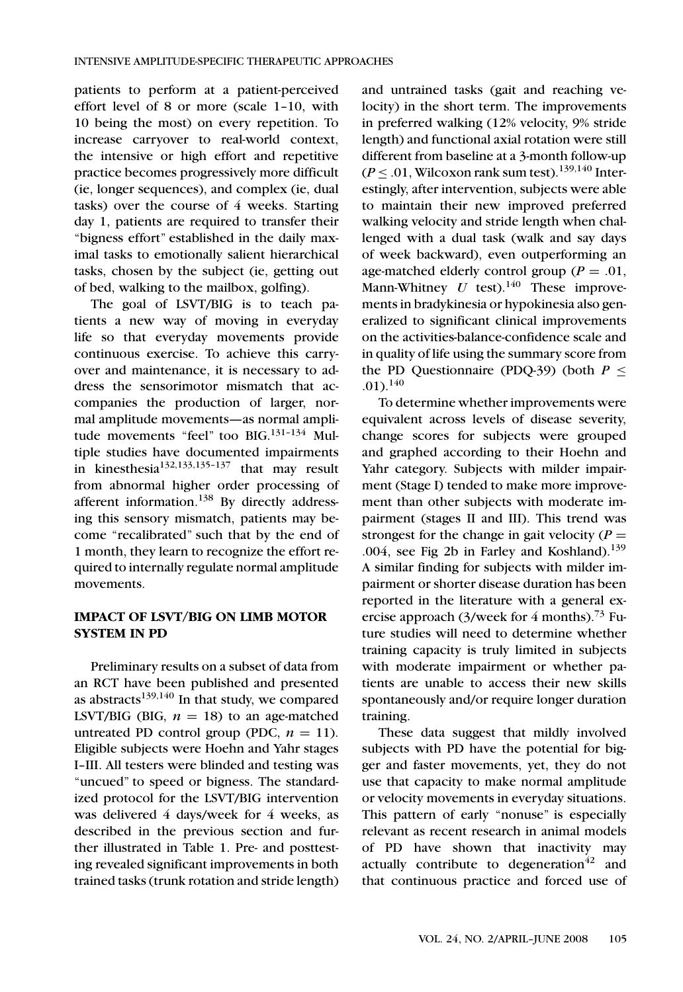patients to perform at a patient-perceived effort level of 8 or more (scale 1–10, with 10 being the most) on every repetition. To increase carryover to real-world context, the intensive or high effort and repetitive practice becomes progressively more difficult (ie, longer sequences), and complex (ie, dual tasks) over the course of 4 weeks. Starting day 1, patients are required to transfer their "bigness effort" established in the daily maximal tasks to emotionally salient hierarchical tasks, chosen by the subject (ie, getting out of bed, walking to the mailbox, golfing).

The goal of LSVT/BIG is to teach patients a new way of moving in everyday life so that everyday movements provide continuous exercise. To achieve this carryover and maintenance, it is necessary to address the sensorimotor mismatch that accompanies the production of larger, normal amplitude movements—as normal amplitude movements "feel" too BIG.<sup>131-134</sup> Multiple studies have documented impairments in kinesthesia132,133,135–137 that may result from abnormal higher order processing of afferent information.<sup>138</sup> By directly addressing this sensory mismatch, patients may become "recalibrated" such that by the end of 1 month, they learn to recognize the effort required to internally regulate normal amplitude movements.

# **IMPACT OF LSVT/BIG ON LIMB MOTOR SYSTEM IN PD**

Preliminary results on a subset of data from an RCT have been published and presented as abstracts<sup>139,140</sup> In that study, we compared LSVT/BIG (BIG,  $n = 18$ ) to an age-matched untreated PD control group (PDC,  $n = 11$ ). Eligible subjects were Hoehn and Yahr stages I–III. All testers were blinded and testing was "uncued" to speed or bigness. The standardized protocol for the LSVT/BIG intervention was delivered 4 days/week for 4 weeks, as described in the previous section and further illustrated in Table 1. Pre- and posttesting revealed significant improvements in both trained tasks (trunk rotation and stride length)

and untrained tasks (gait and reaching velocity) in the short term. The improvements in preferred walking (12% velocity, 9% stride length) and functional axial rotation were still different from baseline at a 3-month follow-up  $(P \leq .01$ , Wilcoxon rank sum test).<sup>139,140</sup> Interestingly, after intervention, subjects were able to maintain their new improved preferred walking velocity and stride length when challenged with a dual task (walk and say days of week backward), even outperforming an age-matched elderly control group ( $P = .01$ , Mann-Whitney  $U$  test).<sup>140</sup> These improvements in bradykinesia or hypokinesia also generalized to significant clinical improvements on the activities-balance-confidence scale and in quality of life using the summary score from the PD Questionnaire (PDQ-39) (both  $P \leq$  $.01$ ).<sup>140</sup>

To determine whether improvements were equivalent across levels of disease severity, change scores for subjects were grouped and graphed according to their Hoehn and Yahr category. Subjects with milder impairment (Stage I) tended to make more improvement than other subjects with moderate impairment (stages II and III). This trend was strongest for the change in gait velocity  $(P =$ .004, see Fig 2b in Farley and Koshland).<sup>139</sup> A similar finding for subjects with milder impairment or shorter disease duration has been reported in the literature with a general exercise approach  $(3$ /week for 4 months).<sup>73</sup> Future studies will need to determine whether training capacity is truly limited in subjects with moderate impairment or whether patients are unable to access their new skills spontaneously and/or require longer duration training.

These data suggest that mildly involved subjects with PD have the potential for bigger and faster movements, yet, they do not use that capacity to make normal amplitude or velocity movements in everyday situations. This pattern of early "nonuse" is especially relevant as recent research in animal models of PD have shown that inactivity may actually contribute to degeneration<sup>42</sup> and that continuous practice and forced use of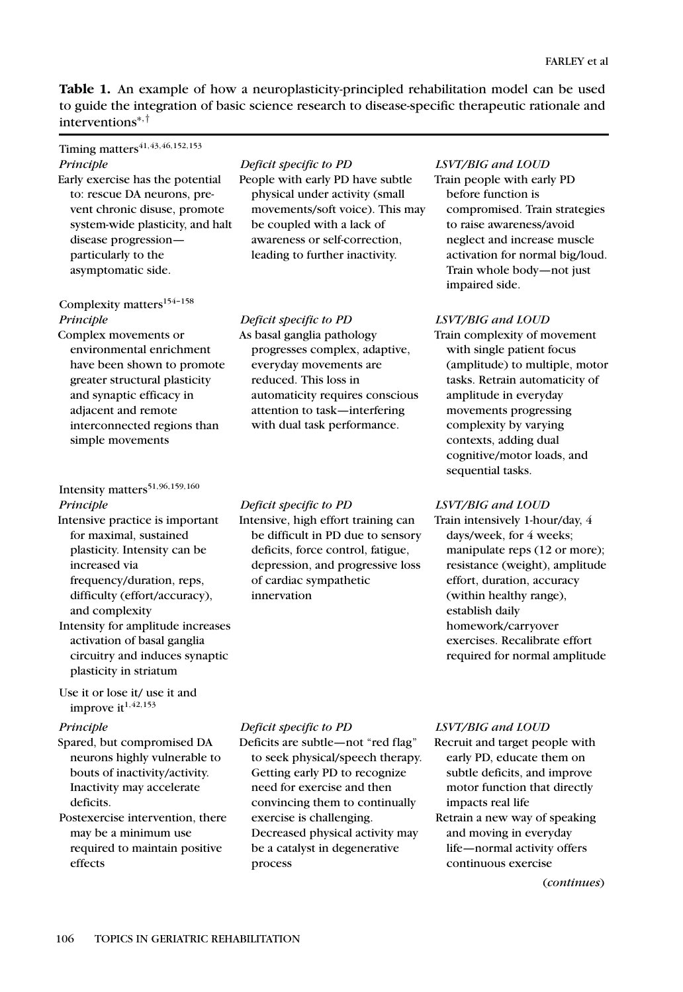**Table 1.** An example of how a neuroplasticity-principled rehabilitation model can be used to guide the integration of basic science research to disease-specific therapeutic rationale and interventions∗,†

| Timing matters <sup>41,43,46,152,153</sup><br>Principle<br>Early exercise has the potential<br>to: rescue DA neurons, pre-<br>vent chronic disuse, promote<br>system-wide plasticity, and halt<br>disease progression-<br>particularly to the<br>asymptomatic side.                                                                                                                                                                               | Deficit specific to PD<br>People with early PD have subtle<br>physical under activity (small<br>movements/soft voice). This may<br>be coupled with a lack of<br>awareness or self-correction,<br>leading to further inactivity.                                                                              | LSVT/BIG and LOUD<br>Train people with early PD<br>before function is<br>compromised. Train strategies<br>to raise awareness/avoid<br>neglect and increase muscle<br>activation for normal big/loud.<br>Train whole body-not just<br>impaired side.                                                                    |
|---------------------------------------------------------------------------------------------------------------------------------------------------------------------------------------------------------------------------------------------------------------------------------------------------------------------------------------------------------------------------------------------------------------------------------------------------|--------------------------------------------------------------------------------------------------------------------------------------------------------------------------------------------------------------------------------------------------------------------------------------------------------------|------------------------------------------------------------------------------------------------------------------------------------------------------------------------------------------------------------------------------------------------------------------------------------------------------------------------|
| Complexity matters <sup>154-158</sup><br>Principle<br>Complex movements or<br>environmental enrichment<br>have been shown to promote<br>greater structural plasticity<br>and synaptic efficacy in<br>adjacent and remote<br>interconnected regions than<br>simple movements                                                                                                                                                                       | Deficit specific to PD<br>As basal ganglia pathology<br>progresses complex, adaptive,<br>everyday movements are<br>reduced. This loss in<br>automaticity requires conscious<br>attention to task-interfering<br>with dual task performance.                                                                  | LSVT/BIG and LOUD<br>Train complexity of movement<br>with single patient focus<br>(amplitude) to multiple, motor<br>tasks. Retrain automaticity of<br>amplitude in everyday<br>movements progressing<br>complexity by varying<br>contexts, adding dual<br>cognitive/motor loads, and<br>sequential tasks.              |
| Intensity matters <sup>51,96,159,160</sup><br>Principle<br>Intensive practice is important<br>for maximal, sustained<br>plasticity. Intensity can be<br>increased via<br>frequency/duration, reps,<br>difficulty (effort/accuracy),<br>and complexity<br>Intensity for amplitude increases<br>activation of basal ganglia<br>circuitry and induces synaptic<br>plasticity in striatum<br>Use it or lose it/ use it and<br>improve $it^{1,42,153}$ | Deficit specific to PD<br>Intensive, high effort training can<br>be difficult in PD due to sensory<br>deficits, force control, fatigue,<br>depression, and progressive loss<br>of cardiac sympathetic<br>innervation                                                                                         | LSVT/BIG and LOUD<br>Train intensively 1-hour/day, 4<br>days/week, for 4 weeks;<br>manipulate reps (12 or more);<br>resistance (weight), amplitude<br>effort, duration, accuracy<br>(within healthy range),<br>establish daily<br>homework/carryover<br>exercises. Recalibrate effort<br>required for normal amplitude |
| Principle<br>Spared, but compromised DA<br>neurons highly vulnerable to<br>bouts of inactivity/activity.<br>Inactivity may accelerate<br>deficits.<br>Postexercise intervention, there<br>may be a minimum use<br>required to maintain positive<br>effects                                                                                                                                                                                        | Deficit specific to PD<br>Deficits are subtle-not "red flag"<br>to seek physical/speech therapy.<br>Getting early PD to recognize<br>need for exercise and then<br>convincing them to continually<br>exercise is challenging.<br>Decreased physical activity may<br>be a catalyst in degenerative<br>process | LSVT/BIG and LOUD<br>Recruit and target people with<br>early PD, educate them on<br>subtle deficits, and improve<br>motor function that directly<br>impacts real life<br>Retrain a new way of speaking<br>and moving in everyday<br>life-normal activity offers<br>continuous exercise                                 |

(*continues*)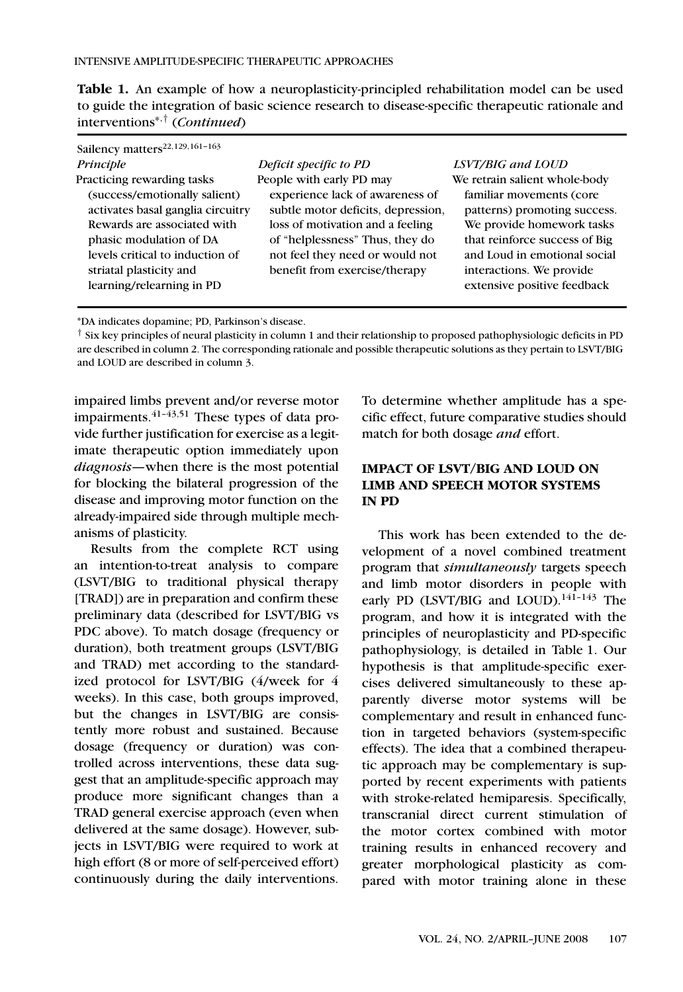| <b>Table 1.</b> An example of how a neuroplasticity-principled rehabilitation model can be used  |
|--------------------------------------------------------------------------------------------------|
| to guide the integration of basic science research to disease-specific therapeutic rationale and |
| interventions <sup>*,†</sup> ( <i>Continued</i> )                                                |

| Sailency matters <sup>22,129,161-163</sup> |                                    |                               |
|--------------------------------------------|------------------------------------|-------------------------------|
| Principle                                  | Deficit specific to PD             | LSVT/BIG and LOUD             |
| Practicing rewarding tasks                 | People with early PD may           | We retrain salient whole-body |
| (success/emotionally salient)              | experience lack of awareness of    | familiar movements (core      |
| activates basal ganglia circuitry          | subtle motor deficits, depression, | patterns) promoting success.  |
| Rewards are associated with                | loss of motivation and a feeling   | We provide homework tasks     |
| phasic modulation of DA                    | of "helplessness" Thus, they do    | that reinforce success of Big |
| levels critical to induction of            | not feel they need or would not    | and Loud in emotional social  |
| striatal plasticity and                    | benefit from exercise/therapy      | interactions. We provide      |
| learning/relearning in PD                  |                                    | extensive positive feedback   |
|                                            |                                    |                               |

\*DA indicates dopamine; PD, Parkinson's disease.

 $\dagger$  Six key principles of neural plasticity in column 1 and their relationship to proposed pathophysiologic deficits in PD are described in column 2. The corresponding rationale and possible therapeutic solutions as they pertain to LSVT/BIG and LOUD are described in column 3.

impaired limbs prevent and/or reverse motor impairments. $41-43,51$  These types of data provide further justification for exercise as a legitimate therapeutic option immediately upon *diagnosis*—when there is the most potential for blocking the bilateral progression of the disease and improving motor function on the already-impaired side through multiple mechanisms of plasticity.

Results from the complete RCT using an intention-to-treat analysis to compare (LSVT/BIG to traditional physical therapy [TRAD]) are in preparation and confirm these preliminary data (described for LSVT/BIG vs PDC above). To match dosage (frequency or duration), both treatment groups (LSVT/BIG and TRAD) met according to the standardized protocol for LSVT/BIG (4/week for 4 weeks). In this case, both groups improved, but the changes in LSVT/BIG are consistently more robust and sustained. Because dosage (frequency or duration) was controlled across interventions, these data suggest that an amplitude-specific approach may produce more significant changes than a TRAD general exercise approach (even when delivered at the same dosage). However, subjects in LSVT/BIG were required to work at high effort (8 or more of self-perceived effort) continuously during the daily interventions.

To determine whether amplitude has a specific effect, future comparative studies should match for both dosage *and* effort.

## **IMPACT OF LSVT/BIG AND LOUD ON LIMB AND SPEECH MOTOR SYSTEMS IN PD**

This work has been extended to the development of a novel combined treatment program that *simultaneously* targets speech and limb motor disorders in people with early PD (LSVT/BIG and LOUD).<sup>141-143</sup> The program, and how it is integrated with the principles of neuroplasticity and PD-specific pathophysiology, is detailed in Table 1. Our hypothesis is that amplitude-specific exercises delivered simultaneously to these apparently diverse motor systems will be complementary and result in enhanced function in targeted behaviors (system-specific effects). The idea that a combined therapeutic approach may be complementary is supported by recent experiments with patients with stroke-related hemiparesis. Specifically, transcranial direct current stimulation of the motor cortex combined with motor training results in enhanced recovery and greater morphological plasticity as compared with motor training alone in these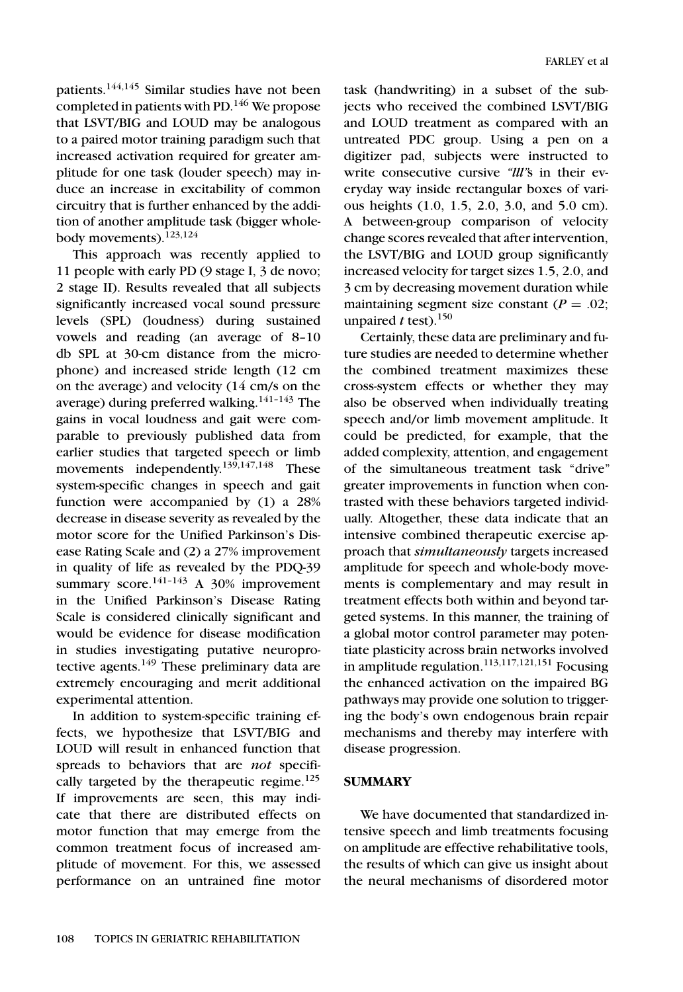patients.144,145 Similar studies have not been completed in patients with PD.<sup>146</sup> We propose that LSVT/BIG and LOUD may be analogous to a paired motor training paradigm such that increased activation required for greater amplitude for one task (louder speech) may induce an increase in excitability of common circuitry that is further enhanced by the addition of another amplitude task (bigger wholebody movements). $123,124$ 

This approach was recently applied to 11 people with early PD (9 stage I, 3 de novo; 2 stage II). Results revealed that all subjects significantly increased vocal sound pressure levels (SPL) (loudness) during sustained vowels and reading (an average of 8–10 db SPL at 30-cm distance from the microphone) and increased stride length (12 cm on the average) and velocity (14 cm/s on the average) during preferred walking.<sup>141-143</sup> The gains in vocal loudness and gait were comparable to previously published data from earlier studies that targeted speech or limb movements independently.<sup>139,147,148</sup> These system-specific changes in speech and gait function were accompanied by (1) a 28% decrease in disease severity as revealed by the motor score for the Unified Parkinson's Disease Rating Scale and (2) a 27% improvement in quality of life as revealed by the PDQ-39 summary score.<sup>141-143</sup> A 30% improvement in the Unified Parkinson's Disease Rating Scale is considered clinically significant and would be evidence for disease modification in studies investigating putative neuroprotective agents.<sup>149</sup> These preliminary data are extremely encouraging and merit additional experimental attention.

In addition to system-specific training effects, we hypothesize that LSVT/BIG and LOUD will result in enhanced function that spreads to behaviors that are *not* specifically targeted by the therapeutic regime.<sup>125</sup> If improvements are seen, this may indicate that there are distributed effects on motor function that may emerge from the common treatment focus of increased amplitude of movement. For this, we assessed performance on an untrained fine motor task (handwriting) in a subset of the subjects who received the combined LSVT/BIG and LOUD treatment as compared with an untreated PDC group. Using a pen on a digitizer pad, subjects were instructed to write consecutive cursive *"lll"*s in their everyday way inside rectangular boxes of various heights (1.0, 1.5, 2.0, 3.0, and 5.0 cm). A between-group comparison of velocity change scores revealed that after intervention, the LSVT/BIG and LOUD group significantly increased velocity for target sizes 1.5, 2.0, and 3 cm by decreasing movement duration while maintaining segment size constant  $(P = .02)$ ; unpaired  $t$  test).<sup>150</sup>

Certainly, these data are preliminary and future studies are needed to determine whether the combined treatment maximizes these cross-system effects or whether they may also be observed when individually treating speech and/or limb movement amplitude. It could be predicted, for example, that the added complexity, attention, and engagement of the simultaneous treatment task "drive" greater improvements in function when contrasted with these behaviors targeted individually. Altogether, these data indicate that an intensive combined therapeutic exercise approach that *simultaneously* targets increased amplitude for speech and whole-body movements is complementary and may result in treatment effects both within and beyond targeted systems. In this manner, the training of a global motor control parameter may potentiate plasticity across brain networks involved in amplitude regulation.<sup>113,117,121,151</sup> Focusing the enhanced activation on the impaired BG pathways may provide one solution to triggering the body's own endogenous brain repair mechanisms and thereby may interfere with disease progression.

#### **SUMMARY**

We have documented that standardized intensive speech and limb treatments focusing on amplitude are effective rehabilitative tools, the results of which can give us insight about the neural mechanisms of disordered motor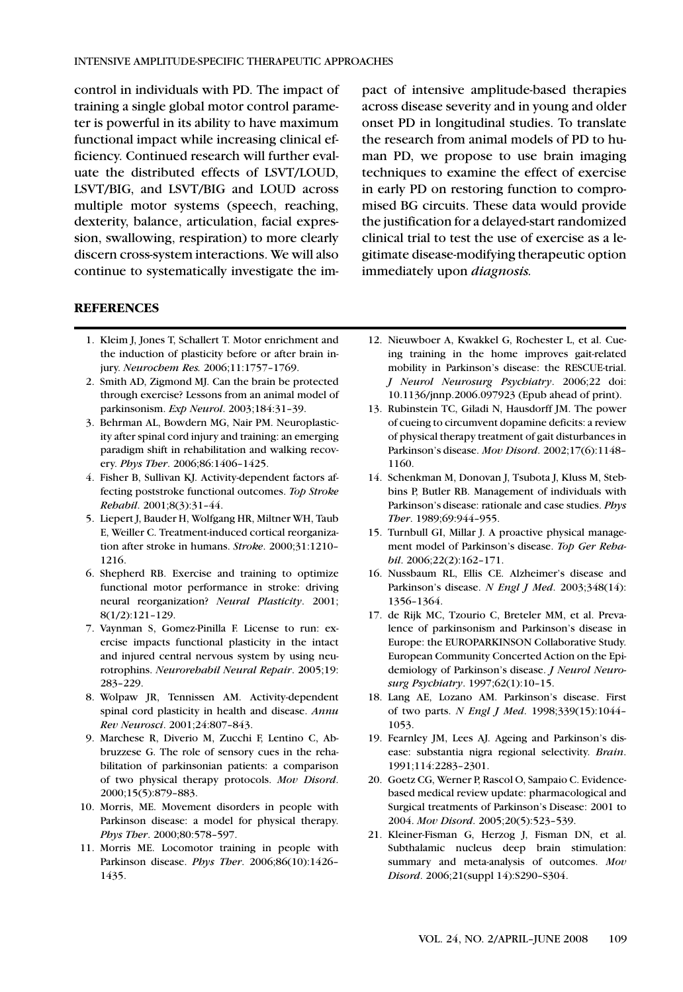control in individuals with PD. The impact of training a single global motor control parameter is powerful in its ability to have maximum functional impact while increasing clinical efficiency. Continued research will further evaluate the distributed effects of LSVT/LOUD, LSVT/BIG, and LSVT/BIG and LOUD across multiple motor systems (speech, reaching, dexterity, balance, articulation, facial expression, swallowing, respiration) to more clearly discern cross-system interactions. We will also continue to systematically investigate the impact of intensive amplitude-based therapies across disease severity and in young and older onset PD in longitudinal studies. To translate the research from animal models of PD to human PD, we propose to use brain imaging techniques to examine the effect of exercise in early PD on restoring function to compromised BG circuits. These data would provide the justification for a delayed-start randomized clinical trial to test the use of exercise as a legitimate disease-modifying therapeutic option immediately upon *diagnosis.*

#### **REFERENCES**

- 1. Kleim J, Jones T, Schallert T. Motor enrichment and the induction of plasticity before or after brain injury. *Neurochem Res.* 2006;11:1757–1769.
- 2. Smith AD, Zigmond MJ. Can the brain be protected through exercise? Lessons from an animal model of parkinsonism. *Exp Neurol*. 2003;184:31–39.
- 3. Behrman AL, Bowdern MG, Nair PM. Neuroplasticity after spinal cord injury and training: an emerging paradigm shift in rehabilitation and walking recovery. *Phys Ther*. 2006;86:1406–1425.
- 4. Fisher B, Sullivan KJ. Activity-dependent factors affecting poststroke functional outcomes. *Top Stroke Rehabil*. 2001;8(3):31–44.
- 5. Liepert J, Bauder H, Wolfgang HR, Miltner WH, Taub E, Weiller C. Treatment-induced cortical reorganization after stroke in humans. *Stroke*. 2000;31:1210– 1216.
- 6. Shepherd RB. Exercise and training to optimize functional motor performance in stroke: driving neural reorganization? *Neural Plasticity*. 2001; 8(1/2):121–129.
- 7. Vaynman S, Gomez-Pinilla F. License to run: exercise impacts functional plasticity in the intact and injured central nervous system by using neurotrophins. *Neurorehabil Neural Repair*. 2005;19: 283–229.
- 8. Wolpaw JR, Tennissen AM. Activity-dependent spinal cord plasticity in health and disease. *Annu Rev Neurosci*. 2001;24:807–843.
- 9. Marchese R, Diverio M, Zucchi F, Lentino C, Abbruzzese G. The role of sensory cues in the rehabilitation of parkinsonian patients: a comparison of two physical therapy protocols. *Mov Disord*. 2000;15(5):879–883.
- 10. Morris, ME. Movement disorders in people with Parkinson disease: a model for physical therapy. *Phys Ther*. 2000;80:578–597.
- 11. Morris ME. Locomotor training in people with Parkinson disease. *Phys Ther*. 2006;86(10):1426– 1435.
- 12. Nieuwboer A, Kwakkel G, Rochester L, et al. Cueing training in the home improves gait-related mobility in Parkinson's disease: the RESCUE-trial. *J Neurol Neurosurg Psychiatry*. 2006;22 doi: 10.1136/jnnp.2006.097923 (Epub ahead of print).
- 13. Rubinstein TC, Giladi N, Hausdorff JM. The power of cueing to circumvent dopamine deficits: a review of physical therapy treatment of gait disturbances in Parkinson's disease. *Mov Disord*. 2002;17(6):1148– 1160.
- 14. Schenkman M, Donovan J, Tsubota J, Kluss M, Stebbins P, Butler RB. Management of individuals with Parkinson's disease: rationale and case studies. *Phys Ther*. 1989;69:944–955.
- 15. Turnbull GI, Millar J. A proactive physical management model of Parkinson's disease. *Top Ger Rehabil*. 2006;22(2):162–171.
- 16. Nussbaum RL, Ellis CE. Alzheimer's disease and Parkinson's disease. *N Engl J Med*. 2003;348(14): 1356–1364.
- 17. de Rijk MC, Tzourio C, Breteler MM, et al. Prevalence of parkinsonism and Parkinson's disease in Europe: the EUROPARKINSON Collaborative Study. European Community Concerted Action on the Epidemiology of Parkinson's disease. *J Neurol Neurosurg Psychiatry*. 1997;62(1):10–15.
- 18. Lang AE, Lozano AM. Parkinson's disease. First of two parts. *N Engl J Med*. 1998;339(15):1044– 1053.
- 19. Fearnley JM, Lees AJ. Ageing and Parkinson's disease: substantia nigra regional selectivity. *Brain*. 1991;114:2283–2301.
- 20. Goetz CG, Werner P, Rascol O, Sampaio C. Evidencebased medical review update: pharmacological and Surgical treatments of Parkinson's Disease: 2001 to 2004. *Mov Disord*. 2005;20(5):523–539.
- 21. Kleiner-Fisman G, Herzog J, Fisman DN, et al. Subthalamic nucleus deep brain stimulation: summary and meta-analysis of outcomes. *Mov Disord*. 2006;21(suppl 14):S290–S304.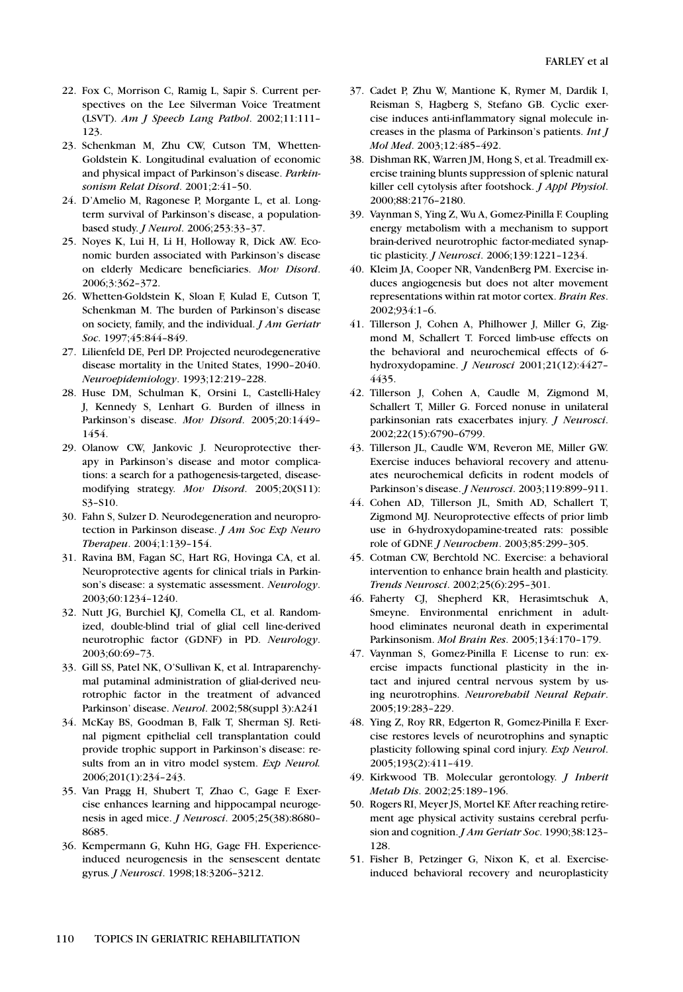- 22. Fox C, Morrison C, Ramig L, Sapir S. Current perspectives on the Lee Silverman Voice Treatment (LSVT). *Am J Speech Lang Pathol*. 2002;11:111– 123.
- 23. Schenkman M, Zhu CW, Cutson TM, Whetten-Goldstein K. Longitudinal evaluation of economic and physical impact of Parkinson's disease. *Parkinsonism Relat Disord*. 2001;2:41–50.
- 24. D'Amelio M, Ragonese P, Morgante L, et al. Longterm survival of Parkinson's disease, a populationbased study. *J Neurol*. 2006;253:33–37.
- 25. Noyes K, Lui H, Li H, Holloway R, Dick AW. Economic burden associated with Parkinson's disease on elderly Medicare beneficiaries. *Mov Disord*. 2006;3:362–372.
- 26. Whetten-Goldstein K, Sloan F, Kulad E, Cutson T, Schenkman M. The burden of Parkinson's disease on society, family, and the individual. *J Am Geriatr Soc*. 1997;45:844–849.
- 27. Lilienfeld DE, Perl DP. Projected neurodegenerative disease mortality in the United States, 1990–2040. *Neuroepidemiology*. 1993;12:219–228.
- 28. Huse DM, Schulman K, Orsini L, Castelli-Haley J, Kennedy S, Lenhart G. Burden of illness in Parkinson's disease. *Mov Disord*. 2005;20:1449– 1454.
- 29. Olanow CW, Jankovic J. Neuroprotective therapy in Parkinson's disease and motor complications: a search for a pathogenesis-targeted, diseasemodifying strategy. *Mov Disord*. 2005;20(S11): S3–S10.
- 30. Fahn S, Sulzer D. Neurodegeneration and neuroprotection in Parkinson disease. *J Am Soc Exp Neuro Therapeu*. 2004;1:139–154.
- 31. Ravina BM, Fagan SC, Hart RG, Hovinga CA, et al. Neuroprotective agents for clinical trials in Parkinson's disease: a systematic assessment. *Neurology*. 2003;60:1234–1240.
- 32. Nutt JG, Burchiel KJ, Comella CL, et al. Randomized, double-blind trial of glial cell line-derived neurotrophic factor (GDNF) in PD. *Neurology*. 2003;60:69–73.
- 33. Gill SS, Patel NK, O'Sullivan K, et al. Intraparenchymal putaminal administration of glial-derived neurotrophic factor in the treatment of advanced Parkinson' disease. *Neurol*. 2002;58(suppl 3):A241
- 34. McKay BS, Goodman B, Falk T, Sherman SJ. Retinal pigment epithelial cell transplantation could provide trophic support in Parkinson's disease: results from an in vitro model system. *Exp Neurol.* 2006;201(1):234–243.
- 35. Van Pragg H, Shubert T, Zhao C, Gage F. Exercise enhances learning and hippocampal neurogenesis in aged mice. *J Neurosci*. 2005;25(38):8680– 8685.
- 36. Kempermann G, Kuhn HG, Gage FH. Experienceinduced neurogenesis in the sensescent dentate gyrus*. J Neurosci*. 1998;18:3206–3212.
- 37. Cadet P, Zhu W, Mantione K, Rymer M, Dardik I, Reisman S, Hagberg S, Stefano GB. Cyclic exercise induces anti-inflammatory signal molecule increases in the plasma of Parkinson's patients. *Int J Mol Med*. 2003;12:485–492.
- 38. Dishman RK, Warren JM, Hong S, et al. Treadmill exercise training blunts suppression of splenic natural killer cell cytolysis after footshock. *J Appl Physiol*. 2000;88:2176–2180.
- 39. Vaynman S, Ying Z, Wu A, Gomez-Pinilla F. Coupling energy metabolism with a mechanism to support brain-derived neurotrophic factor-mediated synaptic plasticity. *J Neurosci*. 2006;139:1221–1234.
- 40. Kleim JA, Cooper NR, VandenBerg PM. Exercise induces angiogenesis but does not alter movement representations within rat motor cortex. *Brain Res*. 2002;934:1–6.
- 41. Tillerson J, Cohen A, Philhower J, Miller G, Zigmond M, Schallert T. Forced limb-use effects on the behavioral and neurochemical effects of 6 hydroxydopamine. *J Neurosci* 2001;21(12):4427– 4435.
- 42. Tillerson J, Cohen A, Caudle M, Zigmond M, Schallert T, Miller G. Forced nonuse in unilateral parkinsonian rats exacerbates injury. *J Neurosci*. 2002;22(15):6790–6799.
- 43. Tillerson JL, Caudle WM, Reveron ME, Miller GW. Exercise induces behavioral recovery and attenuates neurochemical deficits in rodent models of Parkinson's disease. *J Neurosci*. 2003;119:899–911.
- 44. Cohen AD, Tillerson JL, Smith AD, Schallert T, Zigmond MJ. Neuroprotective effects of prior limb use in 6-hydroxydopamine-treated rats: possible role of GDNF. *J Neurochem*. 2003;85:299–305.
- 45. Cotman CW, Berchtold NC. Exercise: a behavioral intervention to enhance brain health and plasticity. *Trends Neurosci*. 2002;25(6):295–301.
- 46. Faherty CJ, Shepherd KR, Herasimtschuk A, Smeyne. Environmental enrichment in adulthood eliminates neuronal death in experimental Parkinsonism. *Mol Brain Res*. 2005;134:170–179.
- 47. Vaynman S, Gomez-Pinilla F. License to run: exercise impacts functional plasticity in the intact and injured central nervous system by using neurotrophins. *Neurorehabil Neural Repair*. 2005;19:283–229.
- 48. Ying Z, Roy RR, Edgerton R, Gomez-Pinilla F. Exercise restores levels of neurotrophins and synaptic plasticity following spinal cord injury. *Exp Neurol*. 2005;193(2):411–419.
- 49. Kirkwood TB. Molecular gerontology. *J Inherit Metab Dis*. 2002;25:189–196.
- 50. Rogers RI, Meyer JS, Mortel KF. After reaching retirement age physical activity sustains cerebral perfusion and cognition. *J Am Geriatr Soc*. 1990;38:123– 128.
- 51. Fisher B, Petzinger G, Nixon K, et al. Exerciseinduced behavioral recovery and neuroplasticity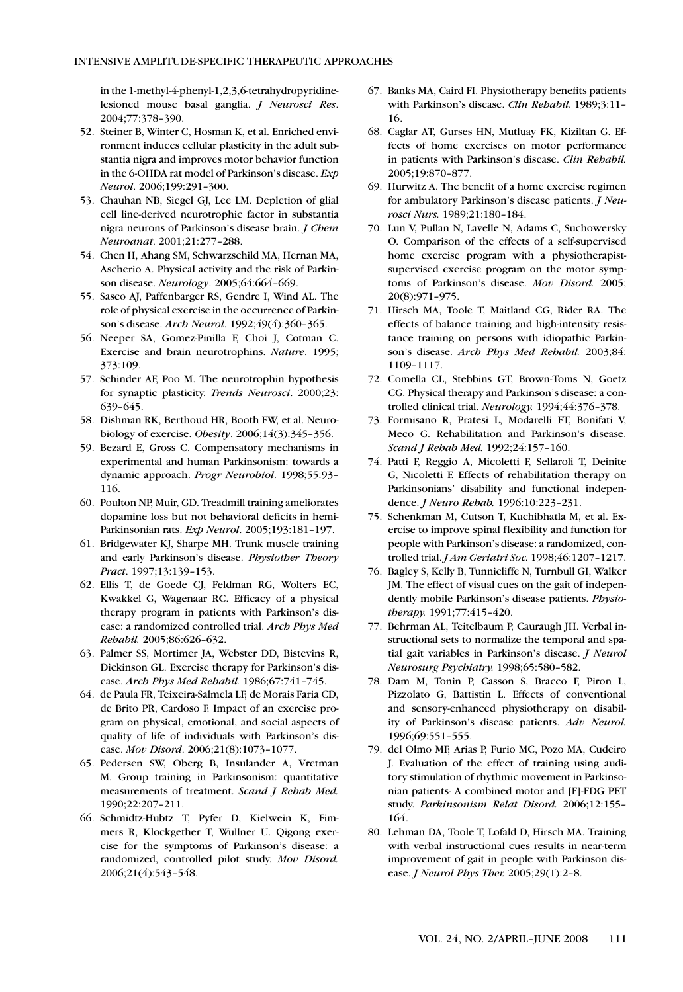in the 1-methyl-4-phenyl-1,2,3,6-tetrahydropyridinelesioned mouse basal ganglia. *J Neurosci Res*. 2004;77:378–390.

- 52. Steiner B, Winter C, Hosman K, et al. Enriched environment induces cellular plasticity in the adult substantia nigra and improves motor behavior function in the 6-OHDA rat model of Parkinson's disease. *Exp Neurol*. 2006;199:291–300.
- 53. Chauhan NB, Siegel GJ, Lee LM. Depletion of glial cell line-derived neurotrophic factor in substantia nigra neurons of Parkinson's disease brain. *J Chem Neuroanat*. 2001;21:277–288.
- 54. Chen H, Ahang SM, Schwarzschild MA, Hernan MA, Ascherio A. Physical activity and the risk of Parkinson disease. *Neurology*. 2005;64:664–669.
- 55. Sasco AJ, Paffenbarger RS, Gendre I, Wind AL. The role of physical exercise in the occurrence of Parkinson's disease. *Arch Neurol*. 1992;49(4):360–365.
- 56. Neeper SA, Gomez-Pinilla F, Choi J, Cotman C. Exercise and brain neurotrophins. *Nature*. 1995; 373:109.
- 57. Schinder AF, Poo M. The neurotrophin hypothesis for synaptic plasticity. *Trends Neurosci*. 2000;23: 639–645.
- 58. Dishman RK, Berthoud HR, Booth FW, et al. Neurobiology of exercise. *Obesity*. 2006;14(3):345–356.
- 59. Bezard E, Gross C. Compensatory mechanisms in experimental and human Parkinsonism: towards a dynamic approach. *Progr Neurobiol*. 1998;55:93– 116.
- 60. Poulton NP, Muir, GD. Treadmill training ameliorates dopamine loss but not behavioral deficits in hemi-Parkinsonian rats. *Exp Neurol*. 2005;193:181–197.
- 61. Bridgewater KJ, Sharpe MH. Trunk muscle training and early Parkinson's disease. *Physiother Theory Pract*. 1997;13:139–153.
- 62. Ellis T, de Goede CJ, Feldman RG, Wolters EC, Kwakkel G, Wagenaar RC. Efficacy of a physical therapy program in patients with Parkinson's disease: a randomized controlled trial. *Arch Phys Med Rehabil.* 2005;86:626–632.
- 63. Palmer SS, Mortimer JA, Webster DD, Bistevins R, Dickinson GL. Exercise therapy for Parkinson's disease. *Arch Phys Med Rehabil.* 1986;67:741–745.
- 64. de Paula FR, Teixeira-Salmela LF, de Morais Faria CD, de Brito PR, Cardoso F. Impact of an exercise program on physical, emotional, and social aspects of quality of life of individuals with Parkinson's disease. *Mov Disord*. 2006;21(8):1073–1077.
- 65. Pedersen SW, Oberg B, Insulander A, Vretman M. Group training in Parkinsonism: quantitative measurements of treatment. *Scand J Rehab Med.* 1990;22:207–211.
- 66. Schmidtz-Hubtz T, Pyfer D, Kielwein K, Fimmers R, Klockgether T, Wullner U. Qigong exercise for the symptoms of Parkinson's disease: a randomized, controlled pilot study. *Mov Disord.* 2006;21(4):543–548.
- 67. Banks MA, Caird FI. Physiotherapy benefits patients with Parkinson's disease. *Clin Rehabil.* 1989;3:11– 16.
- 68. Caglar AT, Gurses HN, Mutluay FK, Kiziltan G. Effects of home exercises on motor performance in patients with Parkinson's disease. *Clin Rehabil.* 2005;19:870–877.
- 69. Hurwitz A. The benefit of a home exercise regimen for ambulatory Parkinson's disease patients. *J Neurosci Nurs.* 1989;21:180–184.
- 70. Lun V, Pullan N, Lavelle N, Adams C, Suchowersky O. Comparison of the effects of a self-supervised home exercise program with a physiotherapistsupervised exercise program on the motor symptoms of Parkinson's disease. *Mov Disord.* 2005; 20(8):971–975.
- 71. Hirsch MA, Toole T, Maitland CG, Rider RA. The effects of balance training and high-intensity resistance training on persons with idiopathic Parkinson's disease. *Arch Phys Med Rehabil.* 2003;84: 1109–1117.
- 72. Comella CL, Stebbins GT, Brown-Toms N, Goetz CG. Physical therapy and Parkinson's disease: a controlled clinical trial. *Neurology.* 1994;44:376–378.
- 73. Formisano R, Pratesi L, Modarelli FT, Bonifati V, Meco G. Rehabilitation and Parkinson's disease. *Scand J Rehab Med.* 1992;24:157–160.
- 74. Patti F, Reggio A, Micoletti F, Sellaroli T, Deinite G, Nicoletti F. Effects of rehabilitation therapy on Parkinsonians' disability and functional independence. *J Neuro Rehab.* 1996:10:223–231.
- 75. Schenkman M, Cutson T, Kuchibhatla M, et al. Exercise to improve spinal flexibility and function for people with Parkinson's disease: a randomized, controlled trial. *J Am Geriatri Soc.* 1998;46:1207–1217.
- 76. Bagley S, Kelly B, Tunnicliffe N, Turnbull GI, Walker JM. The effect of visual cues on the gait of independently mobile Parkinson's disease patients. *Physiotherapy.* 1991;77:415–420.
- 77. Behrman AL, Teitelbaum P, Cauraugh JH. Verbal instructional sets to normalize the temporal and spatial gait variables in Parkinson's disease. *J Neurol Neurosurg Psychiatry.* 1998;65:580–582.
- 78. Dam M, Tonin P, Casson S, Bracco F, Piron L, Pizzolato G, Battistin L. Effects of conventional and sensory-enhanced physiotherapy on disability of Parkinson's disease patients. *Adv Neurol.* 1996;69:551–555.
- 79. del Olmo MF, Arias P, Furio MC, Pozo MA, Cudeiro J. Evaluation of the effect of training using auditory stimulation of rhythmic movement in Parkinsonian patients- A combined motor and [F]-FDG PET study. *Parkinsonism Relat Disord.* 2006;12:155– 164.
- 80. Lehman DA, Toole T, Lofald D, Hirsch MA. Training with verbal instructional cues results in near-term improvement of gait in people with Parkinson disease. *J Neurol Phys Ther.* 2005;29(1):2–8.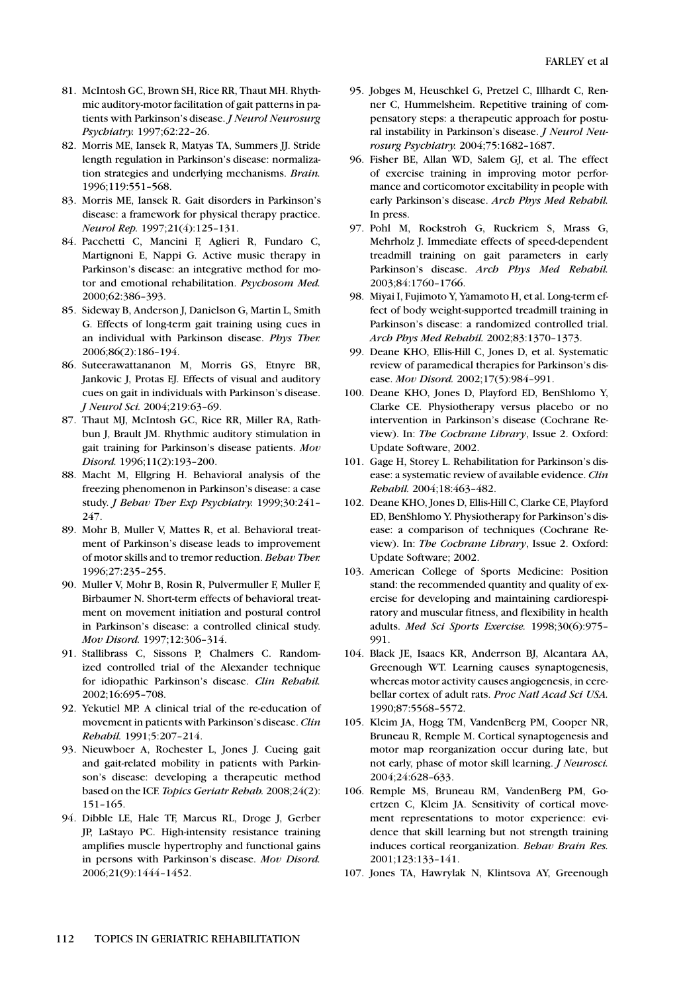- 81. McIntosh GC, Brown SH, Rice RR, Thaut MH. Rhythmic auditory-motor facilitation of gait patterns in patients with Parkinson's disease. *J Neurol Neurosurg Psychiatry.* 1997;62:22–26.
- 82. Morris ME, Iansek R, Matyas TA, Summers JJ. Stride length regulation in Parkinson's disease: normalization strategies and underlying mechanisms. *Brain.* 1996;119:551–568.
- 83. Morris ME, Iansek R. Gait disorders in Parkinson's disease: a framework for physical therapy practice. *Neurol Rep.* 1997;21(4):125–131.
- 84. Pacchetti C, Mancini F, Aglieri R, Fundaro C, Martignoni E, Nappi G. Active music therapy in Parkinson's disease: an integrative method for motor and emotional rehabilitation. *Psychosom Med.* 2000;62:386–393.
- 85. Sideway B, Anderson J, Danielson G, Martin L, Smith G. Effects of long-term gait training using cues in an individual with Parkinson disease. *Phys Ther.* 2006;86(2):186–194.
- 86. Suteerawattananon M, Morris GS, Etnyre BR, Jankovic J, Protas EJ. Effects of visual and auditory cues on gait in individuals with Parkinson's disease. *J Neurol Sci.* 2004;219:63–69.
- 87. Thaut MJ, McIntosh GC, Rice RR, Miller RA, Rathbun J, Brault JM. Rhythmic auditory stimulation in gait training for Parkinson's disease patients. *Mov Disord.* 1996;11(2):193–200.
- 88. Macht M, Ellgring H. Behavioral analysis of the freezing phenomenon in Parkinson's disease: a case study. *J Behav Ther Exp Psychiatry.* 1999;30:241– 247.
- 89. Mohr B, Muller V, Mattes R, et al. Behavioral treatment of Parkinson's disease leads to improvement of motor skills and to tremor reduction. *Behav Ther.* 1996;27:235–255.
- 90. Muller V, Mohr B, Rosin R, Pulvermuller F, Muller F, Birbaumer N. Short-term effects of behavioral treatment on movement initiation and postural control in Parkinson's disease: a controlled clinical study. *Mov Disord.* 1997;12:306–314.
- 91. Stallibrass C, Sissons P, Chalmers C. Randomized controlled trial of the Alexander technique for idiopathic Parkinson's disease. *Clin Rehabil.* 2002;16:695–708.
- 92. Yekutiel MP. A clinical trial of the re-education of movement in patients with Parkinson's disease. *Clin Rehabil.* 1991;5:207–214.
- 93. Nieuwboer A, Rochester L, Jones J. Cueing gait and gait-related mobility in patients with Parkinson's disease: developing a therapeutic method based on the ICF. *Topics Geriatr Rehab.* 2008;24(2): 151–165.
- 94. Dibble LE, Hale TF, Marcus RL, Droge J, Gerber JP, LaStayo PC. High-intensity resistance training amplifies muscle hypertrophy and functional gains in persons with Parkinson's disease. *Mov Disord.* 2006;21(9):1444–1452.
- 95. Jobges M, Heuschkel G, Pretzel C, Illhardt C, Renner C, Hummelsheim. Repetitive training of compensatory steps: a therapeutic approach for postural instability in Parkinson's disease. *J Neurol Neurosurg Psychiatry.* 2004;75:1682–1687.
- 96. Fisher BE, Allan WD, Salem GJ, et al. The effect of exercise training in improving motor performance and corticomotor excitability in people with early Parkinson's disease. *Arch Phys Med Rehabil.* In press.
- 97. Pohl M, Rockstroh G, Ruckriem S, Mrass G, Mehrholz J. Immediate effects of speed-dependent treadmill training on gait parameters in early Parkinson's disease. *Arch Phys Med Rehabil.* 2003;84:1760–1766.
- 98. Miyai I, Fujimoto Y, Yamamoto H, et al. Long-term effect of body weight-supported treadmill training in Parkinson's disease: a randomized controlled trial. *Arch Phys Med Rehabil.* 2002;83:1370–1373.
- 99. Deane KHO, Ellis-Hill C, Jones D, et al. Systematic review of paramedical therapies for Parkinson's disease. *Mov Disord.* 2002;17(5):984–991.
- 100. Deane KHO, Jones D, Playford ED, BenShlomo Y, Clarke CE. Physiotherapy versus placebo or no intervention in Parkinson's disease (Cochrane Review). In: *The Cochrane Library*, Issue 2. Oxford: Update Software, 2002.
- 101. Gage H, Storey L. Rehabilitation for Parkinson's disease: a systematic review of available evidence. *Clin Rehabil.* 2004;18:463–482.
- 102. Deane KHO, Jones D, Ellis-Hill C, Clarke CE, Playford ED, BenShlomo Y. Physiotherapy for Parkinson's disease: a comparison of techniques (Cochrane Review). In: *The Cochrane Library*, Issue 2. Oxford: Update Software; 2002.
- 103. American College of Sports Medicine: Position stand: the recommended quantity and quality of exercise for developing and maintaining cardiorespiratory and muscular fitness, and flexibility in health adults. *Med Sci Sports Exercise.* 1998;30(6):975– 991.
- 104. Black JE, Isaacs KR, Anderrson BJ, Alcantara AA, Greenough WT. Learning causes synaptogenesis, whereas motor activity causes angiogenesis, in cerebellar cortex of adult rats. *Proc Natl Acad Sci USA.* 1990;87:5568–5572.
- 105. Kleim JA, Hogg TM, VandenBerg PM, Cooper NR, Bruneau R, Remple M. Cortical synaptogenesis and motor map reorganization occur during late, but not early, phase of motor skill learning. *J Neurosci.* 2004;24:628–633.
- 106. Remple MS, Bruneau RM, VandenBerg PM, Goertzen C, Kleim JA. Sensitivity of cortical movement representations to motor experience: evidence that skill learning but not strength training induces cortical reorganization. *Behav Brain Res.* 2001;123:133–141.
- 107. Jones TA, Hawrylak N, Klintsova AY, Greenough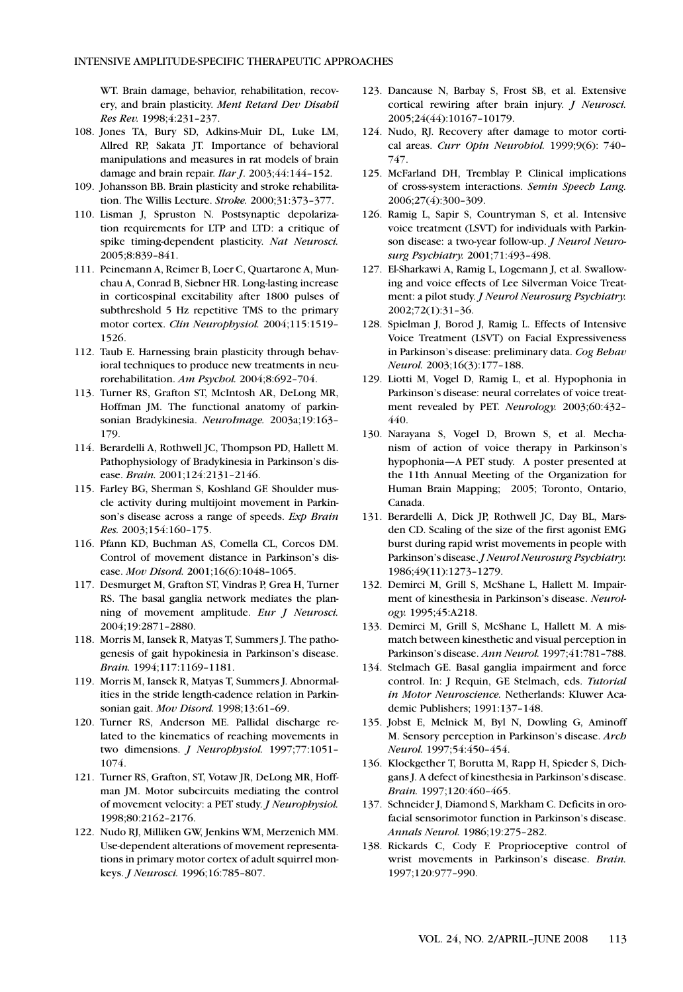WT. Brain damage, behavior, rehabilitation, recovery, and brain plasticity. *Ment Retard Dev Disabil Res Rev.* 1998;4:231–237.

- 108. Jones TA, Bury SD, Adkins-Muir DL, Luke LM, Allred RP, Sakata JT. Importance of behavioral manipulations and measures in rat models of brain damage and brain repair. *Ilar J*. 2003;44:144–152.
- 109. Johansson BB. Brain plasticity and stroke rehabilitation. The Willis Lecture. *Stroke.* 2000;31:373–377.
- 110. Lisman J, Spruston N. Postsynaptic depolarization requirements for LTP and LTD: a critique of spike timing-dependent plasticity. *Nat Neurosci.* 2005;8:839–841.
- 111. Peinemann A, Reimer B, Loer C, Quartarone A, Munchau A, Conrad B, Siebner HR. Long-lasting increase in corticospinal excitability after 1800 pulses of subthreshold 5 Hz repetitive TMS to the primary motor cortex. *Clin Neurophysiol.* 2004;115:1519– 1526.
- 112. Taub E. Harnessing brain plasticity through behavioral techniques to produce new treatments in neurorehabilitation. *Am Psychol.* 2004;8:692–704.
- 113. Turner RS, Grafton ST, McIntosh AR, DeLong MR, Hoffman JM. The functional anatomy of parkinsonian Bradykinesia. *NeuroImage.* 2003a;19:163– 179.
- 114. Berardelli A, Rothwell JC, Thompson PD, Hallett M. Pathophysiology of Bradykinesia in Parkinson's disease. *Brain.* 2001;124:2131–2146.
- 115. Farley BG, Sherman S, Koshland GF. Shoulder muscle activity during multijoint movement in Parkinson's disease across a range of speeds. *Exp Brain Res.* 2003;154:160–175.
- 116. Pfann KD, Buchman AS, Comella CL, Corcos DM. Control of movement distance in Parkinson's disease. *Mov Disord.* 2001;16(6):1048–1065.
- 117. Desmurget M, Grafton ST, Vindras P, Grea H, Turner RS. The basal ganglia network mediates the planning of movement amplitude. *Eur J Neurosci.* 2004;19:2871–2880.
- 118. Morris M, Iansek R, Matyas T, Summers J. The pathogenesis of gait hypokinesia in Parkinson's disease. *Brain.* 1994;117:1169–1181.
- 119. Morris M, Iansek R, Matyas T, Summers J. Abnormalities in the stride length-cadence relation in Parkinsonian gait. *Mov Disord.* 1998;13:61–69.
- 120. Turner RS, Anderson ME. Pallidal discharge related to the kinematics of reaching movements in two dimensions. *J Neurophysiol.* 1997;77:1051– 1074.
- 121. Turner RS, Grafton, ST, Votaw JR, DeLong MR, Hoffman JM. Motor subcircuits mediating the control of movement velocity: a PET study. *J Neurophysiol.* 1998;80:2162–2176.
- 122. Nudo RJ, Milliken GW, Jenkins WM, Merzenich MM. Use-dependent alterations of movement representations in primary motor cortex of adult squirrel monkeys. *J Neurosci.* 1996;16:785–807.
- 123. Dancause N, Barbay S, Frost SB, et al. Extensive cortical rewiring after brain injury. *J Neurosci.* 2005;24(44):10167–10179.
- 124. Nudo, RJ. Recovery after damage to motor cortical areas. *Curr Opin Neurobiol.* 1999;9(6): 740– 747.
- 125. McFarland DH, Tremblay P. Clinical implications of cross-system interactions. *Semin Speech Lang.* 2006;27(4):300–309.
- 126. Ramig L, Sapir S, Countryman S, et al. Intensive voice treatment (LSVT) for individuals with Parkinson disease: a two-year follow-up. *J Neurol Neurosurg Psychiatry.* 2001;71:493–498.
- 127. El-Sharkawi A, Ramig L, Logemann J, et al. Swallowing and voice effects of Lee Silverman Voice Treatment: a pilot study. *J Neurol Neurosurg Psychiatry.* 2002;72(1):31–36.
- 128. Spielman J, Borod J, Ramig L. Effects of Intensive Voice Treatment (LSVT) on Facial Expressiveness in Parkinson's disease: preliminary data. *Cog Behav Neurol.* 2003;16(3):177–188.
- 129. Liotti M, Vogel D, Ramig L, et al. Hypophonia in Parkinson's disease: neural correlates of voice treatment revealed by PET. *Neurology.* 2003;60:432– 440.
- 130. Narayana S, Vogel D, Brown S, et al. Mechanism of action of voice therapy in Parkinson's hypophonia—A PET study. A poster presented at the 11th Annual Meeting of the Organization for Human Brain Mapping; 2005; Toronto, Ontario, Canada.
- 131. Berardelli A, Dick JP, Rothwell JC, Day BL, Marsden CD. Scaling of the size of the first agonist EMG burst during rapid wrist movements in people with Parkinson's disease. *J Neurol Neurosurg Psychiatry.* 1986;49(11):1273–1279.
- 132. Demirci M, Grill S, McShane L, Hallett M. Impairment of kinesthesia in Parkinson's disease. *Neurology.* 1995;45:A218.
- 133. Demirci M, Grill S, McShane L, Hallett M. A mismatch between kinesthetic and visual perception in Parkinson's disease. *Ann Neurol.* 1997;41:781–788.
- 134. Stelmach GE. Basal ganglia impairment and force control. In: J Requin, GE Stelmach, eds. *Tutorial in Motor Neuroscience.* Netherlands: Kluwer Academic Publishers; 1991:137–148.
- 135. Jobst E, Melnick M, Byl N, Dowling G, Aminoff M. Sensory perception in Parkinson's disease. *Arch Neurol.* 1997;54:450–454.
- 136. Klockgether T, Borutta M, Rapp H, Spieder S, Dichgans J. A defect of kinesthesia in Parkinson's disease. *Brain.* 1997;120:460–465.
- 137. Schneider J, Diamond S, Markham C. Deficits in orofacial sensorimotor function in Parkinson's disease. *Annals Neurol.* 1986;19:275–282.
- 138. Rickards C, Cody F. Proprioceptive control of wrist movements in Parkinson's disease. *Brain.* 1997;120:977–990.